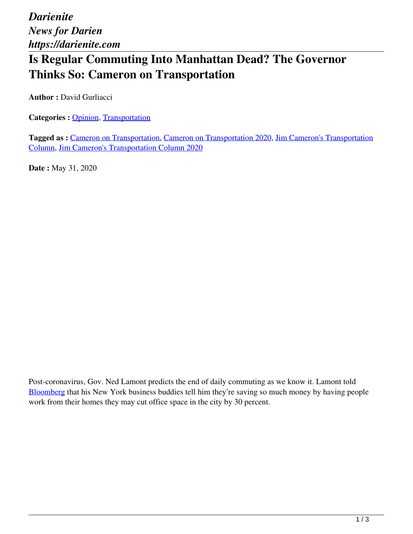*Darienite News for Darien https://darienite.com*

## **Is Regular Commuting Into Manhattan Dead? The Governor Thinks So: Cameron on Transportation**

**Author : David Gurliacci** 

**Categories : [Opinion](https://darienite.com/category/opinion), Transportation** 

**Tagged as :** Cameron on Transportation, Cameron on Transportation 2020, Jim Cameron's Transportation Column, Jim Cameron's Transportation Column 2020

**Date :** May 31, 2020

Post-coronavirus, Gov. Ned Lamont predicts the end of daily commuting as we know it. Lamont told Bloomberg that his New York business buddies tell him they're saving so much money by having people work from their homes they may cut office space in the city by 30 percent.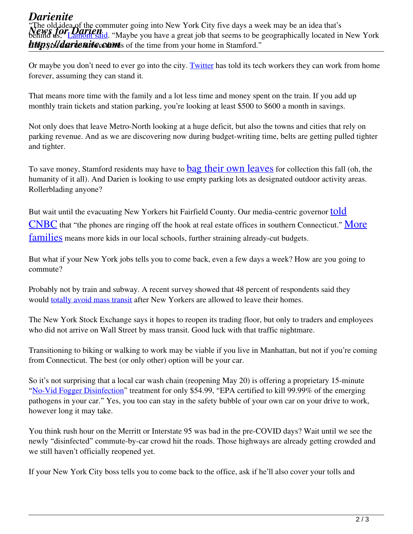## *Darienite* **New Strates of the commuter** going into New York City five days a week may be all idea that s<br>behind us," <u>Lamont said</u>. "Maybe you have a great job that seems to be geographically located in New York **https://darienite.com/as** of the time from your home in Stamford." The old idea of the commuter going into New York City five days a week may be an idea that's

Or maybe you don't need to ever go into the city. Twitter has told its tech workers they can work from home forever, assuming they can stand it.

That means more time with the family and a lot less time and money spent on the train. If you add up monthly train tickets and station parking, you're looking at least \$500 to \$600 a month in savings.

Not only does that leave Metro-North looking at a huge deficit, but also the towns and cities that rely on parking revenue. And as we are discovering now during budget-writing time, belts are getting pulled tighter and tighter.

To save money, Stamford residents may have to **bag their own leaves** for collection this fall (oh, the humanity of it all). And Darien is looking to use empty parking lots as designated outdoor activity areas. Rollerblading anyone?

But wait until the evacuating New Yorkers hit Fairfield County. Our media-centric governor told  $\overline{\text{CNBC}}$  that "the phones are ringing off the hook at real estate offices in southern Connecticut." More families means more kids in our local schools, further straining already-cut budgets.

But what if your New York jobs tells you to come back, even a few days a week? How are you going to commute?

Probably not by train and subway. A recent survey showed that 48 percent of respondents said they would **totally avoid mass transit** after New Yorkers are allowed to leave their homes.

The New York Stock Exchange says it hopes to reopen its trading floor, but only to traders and employees who did not arrive on Wall Street by mass transit. Good luck with that traffic nightmare.

Transitioning to biking or walking to work may be viable if you live in Manhattan, but not if you're coming from Connecticut. The best (or only other) option will be your car.

So it's not surprising that a local car wash chain (reopening May 20) is offering a proprietary 15-minute "No-Vid Fogger Disinfection" treatment for only \$54.99, "EPA certified to kill 99.99% of the emerging pathogens in your car." Yes, you too can stay in the safety bubble of your own car on your drive to work, however long it may take.

You think rush hour on the Merritt or Interstate 95 was bad in the pre-COVID days? Wait until we see the newly "disinfected" commute-by-car crowd hit the roads. Those highways are already getting crowded and we still haven't officially reopened yet.

If your New York City boss tells you to come back to the office, ask if he'll also cover your tolls and